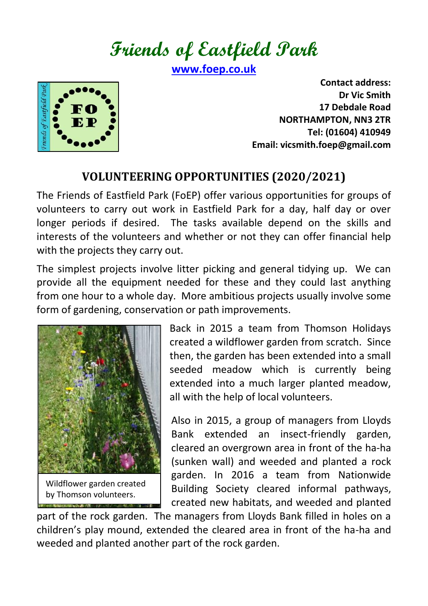**Friends of Eastfield Park**

**[www.foep.co.uk](http://www.foep.co.uk/)**



**Contact address: Dr Vic Smith 17 Debdale Road NORTHAMPTON, NN3 2TR Tel: (01604) 410949 Email: vicsmith.foep@gmail.com**

## **VOLUNTEERING OPPORTUNITIES (2020/2021)**

The Friends of Eastfield Park (FoEP) offer various opportunities for groups of volunteers to carry out work in Eastfield Park for a day, half day or over longer periods if desired. The tasks available depend on the skills and interests of the volunteers and whether or not they can offer financial help with the projects they carry out.

The simplest projects involve litter picking and general tidying up. We can provide all the equipment needed for these and they could last anything from one hour to a whole day. More ambitious projects usually involve some form of gardening, conservation or path improvements.



Wildflower garden created by Thomson volunteers.

Back in 2015 a team from Thomson Holidays created a wildflower garden from scratch. Since then, the garden has been extended into a small seeded meadow which is currently being extended into a much larger planted meadow, all with the help of local volunteers.

Also in 2015, a group of managers from Lloyds Bank extended an insect-friendly garden, cleared an overgrown area in front of the ha-ha (sunken wall) and weeded and planted a rock garden. In 2016 a team from Nationwide Building Society cleared informal pathways, created new habitats, and weeded and planted

part of the rock garden. The managers from Lloyds Bank filled in holes on a children's play mound, extended the cleared area in front of the ha-ha and weeded and planted another part of the rock garden.